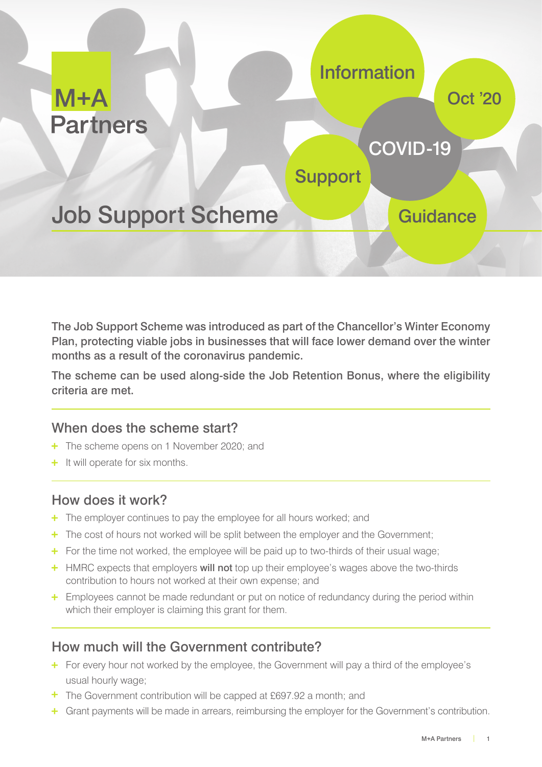

The Job Support Scheme was introduced as part of the Chancellor's Winter Economy Plan, protecting viable jobs in businesses that will face lower demand over the winter months as a result of the coronavirus pandemic.

The scheme can be used along-side the Job Retention Bonus, where the eligibility criteria are met.

### When does the scheme start?

- + The scheme opens on 1 November 2020; and
- + It will operate for six months.

### How does it work?

- + The employer continues to pay the employee for all hours worked; and
- The cost of hours not worked will be split between the employer and the Government;
- $\pm$  For the time not worked, the employee will be paid up to two-thirds of their usual wage;
- **+** HMRC expects that employers **will not** top up their employee's wages above the two-thirds contribution to hours not worked at their own expense; and
- <sup>+</sup> Employees cannot be made redundant or put on notice of redundancy during the period within which their employer is claiming this grant for them.

### How much will the Government contribute?

- **+** For every hour not worked by the employee, the Government will pay a third of the employee's usual hourly wage;
- $\pm$  The Government contribution will be capped at £697.92 a month; and
- + Grant payments will be made in arrears, reimbursing the employer for the Government's contribution.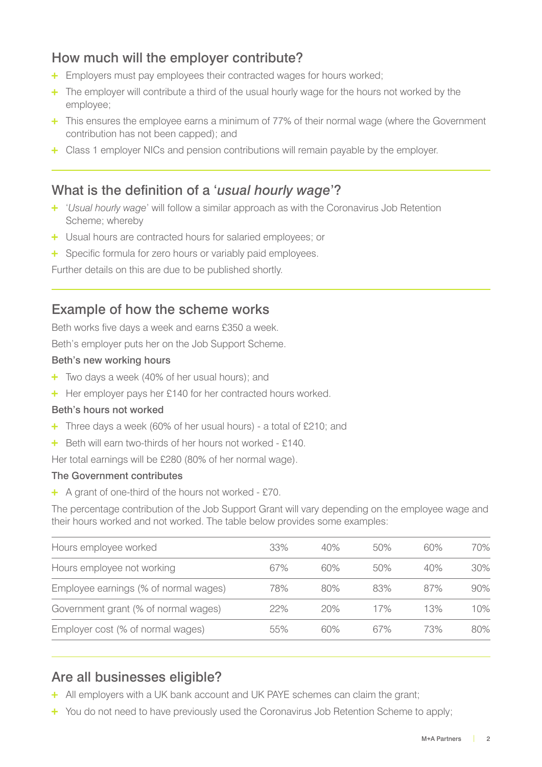# How much will the employer contribute?

- + Employers must pay employees their contracted wages for hours worked;
- <sup>+</sup> The employer will contribute a third of the usual hourly wage for the hours not worked by the employee;
- + This ensures the employee earns a minimum of 77% of their normal wage (where the Government contribution has not been capped); and
- Class 1 employer NICs and pension contributions will remain payable by the employer.

### What is the definition of a '*usual hourly wage*'?

- '*Usual hourly wage*' will follow a similar approach as with the Coronavirus Job Retention Scheme; whereby
- Usual hours are contracted hours for salaried employees; or
- + Specific formula for zero hours or variably paid employees.

Further details on this are due to be published shortly.

### Example of how the scheme works

Beth works five days a week and earns £350 a week.

Beth's employer puts her on the Job Support Scheme.

#### Beth's new working hours

- $+$  Two days a week (40% of her usual hours); and
- + Her employer pays her £140 for her contracted hours worked.

#### Beth's hours not worked

- Three days a week (60% of her usual hours) a total of £210; and
- + Beth will earn two-thirds of her hours not worked £140.

Her total earnings will be £280 (80% of her normal wage).

#### The Government contributes

A grant of one-third of the hours not worked - £70.

The percentage contribution of the Job Support Grant will vary depending on the employee wage and their hours worked and not worked. The table below provides some examples:

| Hours employee worked                 | 33% | 40% | 50% | 60% | 70% |
|---------------------------------------|-----|-----|-----|-----|-----|
| Hours employee not working            | 67% | 60% | 50% | 40% | 30% |
| Employee earnings (% of normal wages) | 78% | 80% | 83% | 87% | 90% |
| Government grant (% of normal wages)  | 22% | 20% | 17% | 13% | 10% |
| Employer cost (% of normal wages)     | 55% | 60% | 67% | 73% | 80% |
|                                       |     |     |     |     |     |

### Are all businesses eligible?

- <sup>+</sup> All employers with a UK bank account and UK PAYE schemes can claim the grant;
- + You do not need to have previously used the Coronavirus Job Retention Scheme to apply;